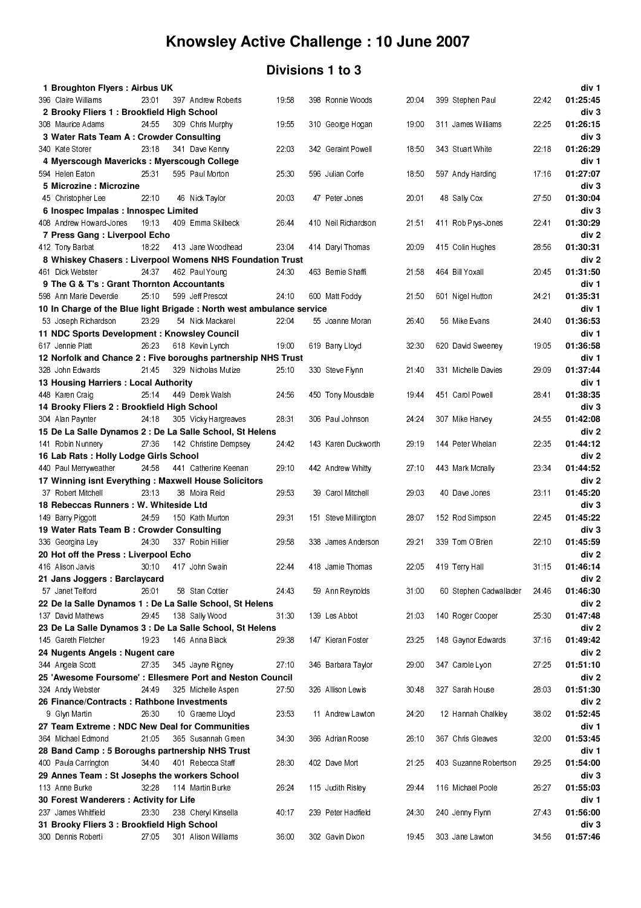### **Divisions 1 to 3**

| 1 Broughton Flyers: Airbus UK                                         |       |                       |       |                      |       |                        |       | div 1             |
|-----------------------------------------------------------------------|-------|-----------------------|-------|----------------------|-------|------------------------|-------|-------------------|
| 396 Claire Williams                                                   | 23.01 | 397 Andrew Roberts    | 1958  | 398 Ronnie Woods     | 20.04 | 399 Stephen Paul       | 2242  | 01:25:45          |
| 2 Brooky Fliers 1: Brookfield High School                             |       |                       |       |                      |       |                        |       | div <sub>3</sub>  |
| 308 Maurice Adams                                                     | 24 55 | 309 Chris Murphy      | 19 55 | 310 George Hogan     | 19:00 | 311 James Williams     | 22.25 | 01:26:15          |
| 3 Water Rats Team A: Crowder Consulting                               |       |                       |       |                      |       |                        |       | div 3             |
| 340 Kate Storer                                                       | 23:18 | 341 Dave Kenny        | 22 03 | 342 Geraint Powell   | 18:50 | 343 Stuart White       | 22:18 | 01:26:29          |
| 4 Myerscough Mavericks : Myerscough College                           |       |                       |       |                      |       |                        |       | div 1             |
| 594 Helen Eaton                                                       | 25.31 | 595 Paul Morton       | 25 30 | 596 Julian Corfe     | 18:50 | 597 Andy Harding       | 17.16 | 01:27:07          |
| 5 Microzine: Microzine                                                |       |                       |       |                      |       |                        |       | div 3             |
| 45 Christopher Lee                                                    | 22:10 | 46 Nick Taylor        | 20 03 | 47 Peter Jones       | 20 01 | 48 Sally Cox           | 27.50 | 01:30:04          |
| 6 Inospec Impalas : Innospec Limited                                  |       |                       |       |                      |       |                        |       | div 3             |
| 408 Andrew How ard-Jones                                              | 19:13 | 409 Emma Skilbeck     | 26.44 | 410 Neil Richardson  | 21:51 | 411 Rob Prys-Jones     | 22.41 | 01:30:29          |
| 7 Press Gang: Liverpool Echo                                          |       |                       |       |                      |       |                        |       | div 2             |
| 412 Tony Barbat                                                       | 18:22 | 413 Jane Woodhead     | 23.04 | 414 Daryl Thomas     | 20:09 | 415 Colin Hughes       | 28:56 | 01:30:31          |
| 8 Whiskey Chasers: Liverpool Womens NHS Foundation Trust              |       |                       |       |                      |       |                        |       | div 2             |
| 461 Dick Webster                                                      | 24 37 | 462 Paul Young        | 24 30 | 463 Bernie Shaffi    | 21:58 | 464 Bill Yoxall        | 2045  | 01:31:50          |
| 9 The G & T's : Grant Thornton Accountants                            |       |                       |       |                      |       |                        |       | div 1             |
| 598 Ann Marie Deverdie                                                | 25:10 | 599 Jeff Prescot      | 24.10 | 600 Matt Foddy       | 21 50 | 601 Nigel Hutton       | 24 21 | 01:35:31          |
| 10 In Charge of the Blue light Brigade : North west ambulance service |       |                       |       |                      |       |                        |       | div 1             |
| 53 Joseph Richardson                                                  | 23.29 | 54 Nick Mackarel      | 22:04 | 55 Joanne Moran      | 26.40 | 56 Mike Evans          | 24.40 | 01:36:53          |
| 11 NDC Sports Development: Knowsley Council                           |       |                       |       |                      |       |                        |       | div 1             |
|                                                                       | 26:23 | 618 Kevin Lynch       |       |                      | 32.30 | 620 David Sweeney      |       | 01:36:58          |
| 617 Jennie Platt                                                      |       |                       | 19 00 | 619 Barry Lloyd      |       |                        | 19:05 |                   |
| 12 Norfolk and Chance 2 : Five boroughs partnership NHS Trust         |       |                       |       |                      |       |                        |       | div 1             |
| 328 John Edwards                                                      | 2145  | 329 Nicholas Mutize   | 25.10 | 330 Steve Flynn      | 21.40 | 331 Michelle Davies    | 29.09 | 01:37:44          |
| 13 Housing Harriers : Local Authority                                 |       |                       |       |                      |       |                        |       | div 1             |
| 448 Karen Craig                                                       | 25:14 | 449 Derek Walsh       | 24 56 | 450 Tony Mousdale    | 19:44 | 451 Carol Powell       | 2841  | 01:38:35          |
| 14 Brooky Fliers 2: Brookfield High School                            |       |                       |       |                      |       |                        |       | div 3             |
| 304 Alan Paynter                                                      | 24.18 | 305 Vicky Hargreaves  | 28:31 | 306 Paul Johnson     | 24:24 | 307 Mike Harvey        | 24.55 | 01:42:08          |
| 15 De La Salle Dynamos 2 : De La Salle School, St Helens              |       |                       |       |                      |       |                        |       | div 2             |
| 141 Robin Nunnery                                                     | 27.36 | 142 Christine Dempsey | 24 42 | 143 Karen Duckworth  | 29.19 | 144 Peter Whelan       | 22.35 | 01:44:12          |
| 16 Lab Rats: Holly Lodge Girls School                                 |       |                       |       |                      |       |                        |       | div 2             |
| 440 Paul Merryweather                                                 | 24.58 | 441 Catherine Keenan  | 29:10 | 442 Andrew Whitty    | 27:10 | 443 Mark Mcnally       | 23.34 | 01:44:52          |
| 17 Winning isnt Everything : Maxwell House Solicitors                 |       |                       |       |                      |       |                        |       | div 2             |
| 37 Robert Mitchell                                                    | 23:13 | 38 Moira Reid         | 29 53 | 39 Carol Mitchell    | 29.03 | 40 Dave Jones          | 23:11 | 01:45:20          |
| 18 Rebeccas Runners: W. Whiteside Ltd                                 |       |                       |       |                      |       |                        |       | div 3             |
| 149 Barry Piggott                                                     | 24.59 | 150 Kath Murton       | 29 31 | 151 Steve Millington | 28.07 | 152 Rod Simpson        | 2245  | 01:45:22          |
| 19 Water Rats Team B: Crowder Consulting                              |       |                       |       |                      |       |                        |       | div 3             |
| 336 Georgina Ley                                                      | 24 30 | 337 Robin Hillier     | 29 58 | 338 James Anderson   | 29.21 | 339 Tom O'Brien        | 22.10 | 01:45:59          |
| 20 Hot off the Press: Liverpool Echo                                  |       |                       |       |                      |       |                        |       | div <sub>2</sub>  |
| 416 Alison Jarvis                                                     |       | 30.10 417 John Swain  | 22.44 | 418 Jamie Thomas     | 22 05 | 419 Terry Hall         | 31:15 | 01:46:14          |
| 21 Jans Joggers: Barclaycard                                          |       |                       |       |                      |       |                        |       | div 2             |
| 57 Janet Telford                                                      | 26.01 | 58 Stan Cottier       | 24 43 | 59 Ann Reynolds      | 31:00 | 60 Stephen Cadwallader | 24 46 | 01:46:30          |
| 22 De la Salle Dynamos 1 : De La Salle School, St Helens              |       |                       |       |                      |       |                        |       | div <sub>2</sub>  |
| 137 David Mathews                                                     | 2945  | 138 Sally Wood        | 31.30 | 139 Les Abbot        | 21.03 | 140 Roger Cooper       | 25 30 | 01:47:48          |
| 23 De La Salle Dynamos 3 : De La Salle School, St Helens              |       |                       |       |                      |       |                        |       | div 2             |
| 145 Gareth Fletcher                                                   | 19.23 | 146 Anna Black        | 29.38 | 147 Kieran Foster    | 23 25 | 148 Gaynor Edwards     | 37.16 | 01:49:42          |
| 24 Nugents Angels : Nugent care                                       |       |                       |       |                      |       |                        |       | div 2             |
| 344 Angela Scott                                                      | 27:35 | 345 Jayne Rigney      | 27.10 | 346 Barbara Taylor   | 29.00 | 347 Carole Lyon        | 27.25 | 01:51:10          |
| 25 'Awesome Foursome': Ellesmere Port and Neston Council              |       |                       |       |                      |       |                        |       | div 2             |
| 324 Andy Webster                                                      | 24.49 | 325 Michelle Aspen    | 27.50 | 326 Allison Lewis    | 3048  | 327 Sarah House        | 28.03 | 01:51:30          |
| 26 Finance/Contracts: Rathbone Investments                            |       |                       |       |                      |       |                        |       | div 2             |
| 9 Glyn Martin                                                         | 26:30 | 10 Graeme Lloyd       | 23 53 | 11 Andrew Lawton     | 24 20 | 12 Hannah Chalkley     | 38.02 | 01:52:45          |
|                                                                       |       |                       |       |                      |       |                        |       |                   |
| 27 Team Extreme: NDC New Deal for Communities                         | 21.05 | 365 Susannah Green    | 34 30 | 366 Adrian Roose     | 26.10 | 367 Chris Gleaves      |       | div 1<br>01:53:45 |
| 364 Michael Edmond                                                    |       |                       |       |                      |       |                        | 32.00 |                   |
| 28 Band Camp: 5 Boroughs partnership NHS Trust                        |       |                       |       |                      |       |                        |       | div 1             |
| 400 Paula Carrington                                                  | 34 40 | 401 Rebecca Staff     | 28.30 | 402 Dave Mort        | 21.25 | 403 Suzanne Robertson  | 29.25 | 01:54:00          |
| 29 Annes Team : St Josephs the workers School                         |       |                       |       |                      |       |                        |       | div 3             |
| 113 Anne Burke                                                        | 32:28 | 114 Martin Burke      | 26:24 | 115 Judith Risley    | 29.44 | 116 Michael Poole      | 26:27 | 01:55:03          |
| 30 Forest Wanderers : Activity for Life                               |       |                       |       |                      |       |                        |       | div 1             |
| 237 James Whitfield                                                   | 23:30 | 238 Cheryl Kinsella   | 40.17 | 239 Peter Hadfield   | 24.30 | 240 Jenny Flynn        | 2743  | 01:56:00          |
| 31 Brooky Fliers 3 : Brookfield High School                           |       |                       |       |                      |       |                        |       | div 3             |
| 300 Dennis Roberti                                                    | 27 05 | 301 Alison Williams   | 36.00 | 302 Gavin Dixon      | 1945  | 303 Jane Lawton        | 34 56 | 01:57:46          |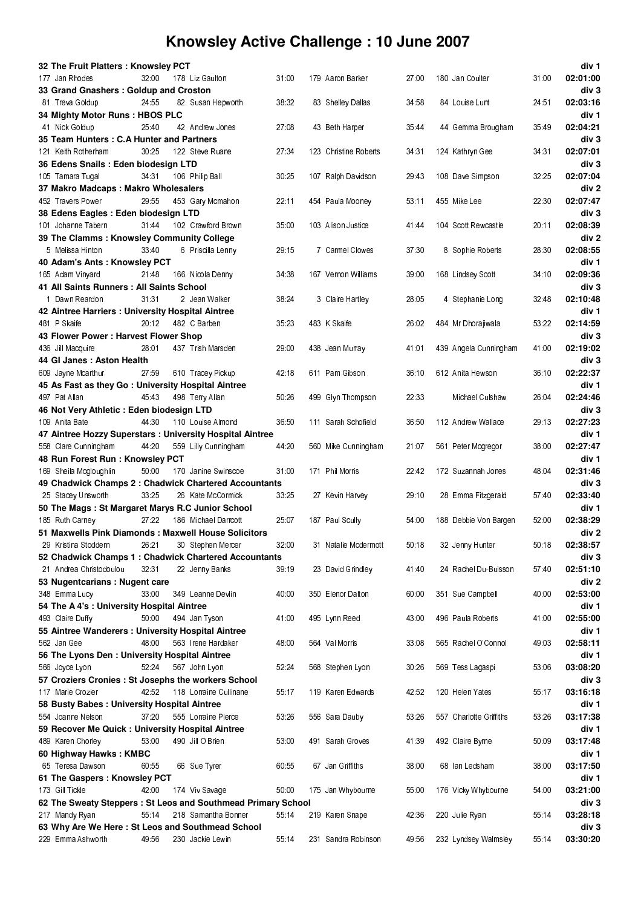| 32 The Fruit Platters: Knowsley PCT                                   |       |                        |       |                       |       |                         |       | div 1                        |
|-----------------------------------------------------------------------|-------|------------------------|-------|-----------------------|-------|-------------------------|-------|------------------------------|
| 177 Jan Rhodes                                                        | 32.00 | 178 Liz Gaulton        | 31:00 | 179 Aaron Barker      | 27:00 | 180 Jan Coulter         | 31:00 | 02:01:00                     |
| 33 Grand Gnashers: Goldup and Croston<br>81 Treva Goldup              | 24 55 | 82 Susan Hepworth      | 38:32 | 83 Shelley Dallas     | 34:58 | 84 Louise Lunt          | 24 51 | div <sub>3</sub><br>02:03:16 |
| 34 Mighty Motor Runs: HBOS PLC                                        |       |                        |       |                       |       |                         |       | div 1                        |
| 41 Nick Goldup                                                        | 25.40 | 42 Andrew Jones        | 27.08 | 43 Beth Harper        | 3544  | 44 Gemma Brougham       | 3549  | 02:04:21                     |
| 35 Team Hunters: C.A Hunter and Partners                              |       |                        |       |                       |       |                         |       | div 3                        |
| 121 Keith Rotherham                                                   | 30:25 | 122 Steve Ruane        | 27.34 | 123 Christine Roberts | 34 31 | 124 Kathryn Gee         | 34 31 | 02:07:01                     |
| 36 Edens Snails: Eden biodesign LTD                                   |       |                        |       |                       |       |                         |       | div <sub>3</sub>             |
| 105 Tamara Tugal                                                      | 34 31 | 106 Philip Ball        | 30.25 | 107 Ralph Davidson    | 29:43 | 108 Dave Simpson        | 32.25 | 02:07:04                     |
| 37 Makro Madcaps : Makro Wholesalers                                  |       |                        |       |                       |       |                         |       | div <sub>2</sub>             |
| 452 Travers Power                                                     | 29.55 | 453 Gary Mcmahon       | 22:11 | 454 Paula Mooney      | 53:11 | 455 Mike Lee            | 22.30 | 02:07:47                     |
| 38 Edens Eagles : Eden biodesign LTD                                  |       |                        |       |                       |       |                         |       | div 3                        |
| 101 Johanne Tabern                                                    | 3144  | 102 Crawford Brown     | 35.00 | 103 Alison Justice    | 41.44 | 104 Scott Rewcastle     | 20.11 | 02:08:39                     |
| 39 The Clamms : Knowsley Community College                            |       |                        |       |                       |       |                         |       | div 2                        |
| 5 Melissa Hinton                                                      | 33.40 | 6 Priscilla Lenny      | 29:15 | 7 Carmel Clowes       | 37:30 | 8 Sophie Roberts        | 28.30 | 02:08:55                     |
| 40 Adam's Ants: Knowsley PCT                                          |       |                        |       |                       |       |                         |       | div 1                        |
| 165 Adam Vinyard                                                      | 2148  | 166 Nicola Denny       | 34.38 | 167 Vernon Williams   | 39.00 | 168 Lindsey Scott       | 34 10 | 02:09:36                     |
| 41 All Saints Runners : All Saints School                             |       |                        |       |                       |       |                         |       | div 3                        |
| 1 Dawn Reardon                                                        | 31.31 | 2 Jean Walker          | 38 24 | 3 Claire Hartley      | 28.05 | 4 Stephanie Long        | 3248  | 02:10:48                     |
| 42 Aintree Harriers : University Hospital Aintree                     |       |                        |       |                       |       |                         |       | div 1                        |
| 481 P Skaife<br>43 Flower Power: Harvest Flower Shop                  | 20:12 | 482 C Barben           | 35.23 | 483 K Skaife          | 26:02 | 484 Mr Dhorajiwala      | 53.22 | 02:14:59<br>div <sub>3</sub> |
| 436 Jill Macquire                                                     | 28.01 | 437 Trish Marsden      | 29:00 | 438 Jean Murray       | 41:01 | 439 Angela Cunningham   | 41.00 | 02:19:02                     |
| 44 GI Janes: Aston Health                                             |       |                        |       |                       |       |                         |       | div 3                        |
| 609 Jayne Mcarthur                                                    | 27.59 | 610 Tracey Pickup      | 42.18 | 611 Pam Gibson        | 36:10 | 612 Anita Hewson        | 36.10 | 02:22:37                     |
| 45 As Fast as they Go: University Hospital Aintree                    |       |                        |       |                       |       |                         |       | div 1                        |
| 497 Pat Allan                                                         | 4543  | 498 Terry Allan        | 50.26 | 499 Glyn Thompson     | 22.33 | Michael Culshaw         | 26:04 | 02:24:46                     |
| 46 Not Very Athletic: Eden biodesign LTD                              |       |                        |       |                       |       |                         |       | div 3                        |
| 109 Anita Bate                                                        | 44 30 | 110 Louise Almond      | 36.50 | 111 Sarah Schofield   | 36.50 | 112 Andrew Wallace      | 29.13 | 02:27:23                     |
| 47 Aintree Hozzy Superstars : University Hospital Aintree             |       |                        |       |                       |       |                         |       | div 1                        |
| 558 Clare Cunningham                                                  | 44.20 | 559 Lilly Cunningham   | 44:20 | 560 Mike Cunningham   | 21:07 | 561 Peter Mogregor      | 38.00 | 02:27:47                     |
| 48 Run Forest Run: Knowsley PCT                                       |       |                        |       |                       |       |                         |       | div 1                        |
| 169 Sheila Mcgloughlin                                                | 50:00 | 170 Janine Swinscoe    | 31:00 | 171 Phil Morris       | 2242  | 172 Suzannah Jones      | 48:04 | 02:31:46                     |
| 49 Chadwick Champs 2: Chadwick Chartered Accountants                  |       |                        |       |                       |       |                         |       | div 3                        |
| 25 Stacey Unsworth                                                    | 33.25 | 26 Kate McCormick      | 33.25 | 27 Kevin Harvey       | 29:10 | 28 Emma Fitzgerald      | 5740  | 02:33:40                     |
| 50 The Mags: St Margaret Marys R.C Junior School                      |       |                        |       |                       |       |                         |       | div 1                        |
| 185 Ruth Carney                                                       | 27.22 | 186 Michael Darrcott   | 25.07 | 187 Paul Scully       | 54:00 | 188 Debbie Von Bargen   | 52:00 | 02:38:29                     |
| 51 Maxwells Pink Diamonds : Maxwell House Solicitors                  |       |                        |       |                       |       |                         |       | div 2                        |
| 29 Knstina Stoddern                                                   | 26:21 | 30 Stephen Mercer      | 32:00 | 31 Natalie Mcdermott  | 50:18 | 32 Jenny Hunter         | 50.18 | 02:38:57                     |
| 52 Chadwick Champs 1: Chadwick Chartered Accountants                  |       |                        |       |                       |       |                         |       | div 3                        |
| 21 Andrea Christodoulou                                               | 32:31 | 22 Jenny Banks         | 39:19 | 23 David Grindley     | 41.40 | 24 Rachel Du-Buisson    | 57:40 | 02:51:10                     |
| 53 Nugentcarians : Nugent care                                        | 33:00 | 349 Leanne Devlin      | 40.00 | 350 Elenor Dalton     | 60.00 | 351 Sue Campbell        | 40.00 | div 2<br>02:53:00            |
| 348 Emma Lucy<br>54 The A 4's : University Hospital Aintree           |       |                        |       |                       |       |                         |       | div 1                        |
| 493 Claire Duffy                                                      | 50:00 | 494 Jan Tyson          | 41:00 | 495 Lynn Reed         | 43.00 | 496 Paula Roberts       | 41.00 | 02:55:00                     |
| 55 Aintree Wanderers: University Hospital Aintree                     |       |                        |       |                       |       |                         |       | div 1                        |
| 562 Jan Gee                                                           | 48.00 | 563 Irene Hardaker     | 48.00 | 564 Val Morris        | 33.08 | 565 Rachel O'Connol     | 49.03 | 02:58:11                     |
| 56 The Lyons Den: University Hospital Aintree                         |       |                        |       |                       |       |                         |       | div 1                        |
| 566 Joyce Lyon                                                        | 52.24 | 567 John Lyon          | 52.24 | 568 Stephen Lyon      | 30.26 | 569 Tess Lagaspi        | 53.06 | 03:08:20                     |
| 57 Croziers Cronies: St Josephs the workers School                    |       |                        |       |                       |       |                         |       | div 3                        |
| 117 Marie Crozier                                                     | 42.52 | 118 Lorraine Cullinane | 55:17 | 119 Karen Edwards     | 42.52 | 120 Helen Yates         | 55.17 | 03:16:18                     |
| 58 Busty Babes: University Hospital Aintree                           |       |                        |       |                       |       |                         |       | div 1                        |
| 554 Joanne Nelson                                                     | 37.20 | 555 Lorraine Pierce    | 53:26 | 556 Sara Dauby        | 53:26 | 557 Charlotte Griffiths | 53:26 | 03:17:38                     |
| 59 Recover Me Quick: University Hospital Aintree                      |       |                        |       |                       |       |                         |       | div 1                        |
| 489 Karen Chorley                                                     | 53:00 | 490 Jill O'Brien       | 53:00 | 491 Sarah Groves      | 41:39 | 492 Claire Byrne        | 50.09 | 03:17:48                     |
| 60 Highway Hawks: KMBC                                                |       |                        |       |                       |       |                         |       | div 1                        |
| 65 Teresa Dawson                                                      | 60:55 | 66 Sue Tyrer           | 60.55 | 67 Jan Griffiths      | 38:00 | 68 Ian Ledsham          | 38.00 | 03:17:50                     |
| 61 The Gaspers: Knowsley PCT                                          |       |                        |       |                       |       |                         |       | div 1                        |
| 173 Gill Tickle                                                       | 4200  | 174 Viv Savage         | 50:00 | 175 Jan Whybourne     | 55:00 | 176 Vicky Whybourne     | 54:00 | 03:21:00                     |
| 62 The Sweaty Steppers: St Leos and Southmead Primary School          |       |                        |       |                       |       |                         |       | div 3                        |
| 217 Mandy Ryan                                                        | 55:14 | 218 Samantha Bonner    | 55.14 | 219 Karen Snape       | 42 36 | 220 Julie Ryan          | 55:14 | 03:28:18<br>div 3            |
| 63 Why Are We Here: St Leos and Southmead School<br>229 Emma Ashworth | 49.56 | 230 Jackie Lewin       | 55:14 | 231 Sandra Robinson   | 49 56 | 232 Lyndsey Walmsley    | 55:14 | 03:30:20                     |
|                                                                       |       |                        |       |                       |       |                         |       |                              |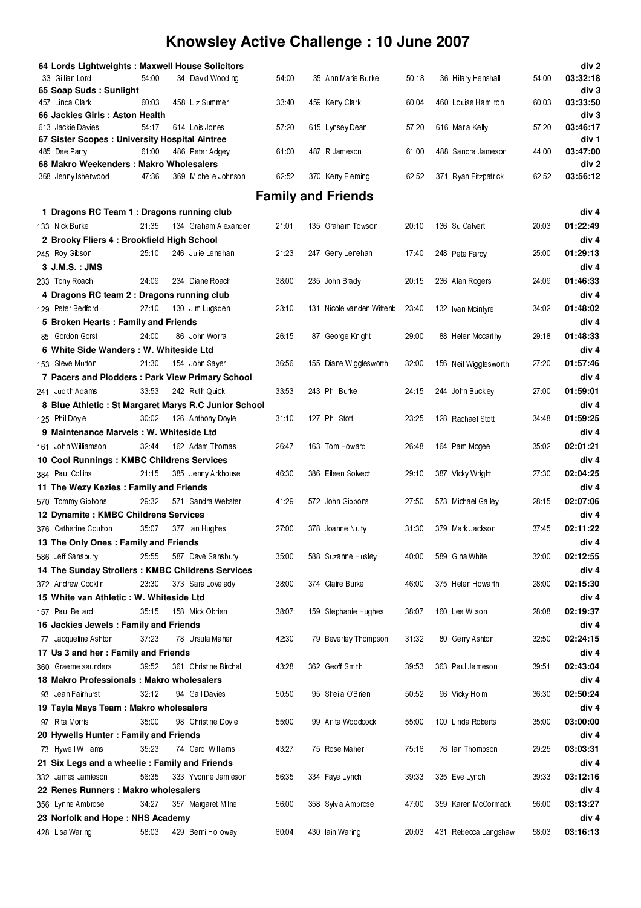| 64 Lords Lightweights : Maxwell House Solicitors                |       |                        |       |                           |       |                       |       | div 2             |
|-----------------------------------------------------------------|-------|------------------------|-------|---------------------------|-------|-----------------------|-------|-------------------|
| 33 Gillian Lord                                                 | 54:00 | 34 David Wooding       | 54:00 | 35 Ann Marie Burke        | 50.18 | 36 Hilary Henshall    | 54:00 | 03:32:18          |
| 65 Soap Suds: Sunlight                                          |       |                        |       |                           |       |                       |       | div 3             |
| 457 Linda Clark                                                 | 60.03 | 458 Liz Summer         | 33.40 | 459 Kerry Clark           | 60.04 | 460 Louise Hamilton   | 60.03 | 03:33:50          |
| 66 Jackies Girls: Aston Health<br>613 Jackie Davies             | 54.17 | 614 Lois Jones         | 57.20 | 615 Lynsey Dean           | 57.20 | 616 Maria Kelly       | 57.20 | div 3<br>03:46:17 |
| 67 Sister Scopes : University Hospital Aintree                  |       |                        |       |                           |       |                       |       | div 1             |
| 485 Dee Parry                                                   | 61:00 | 486 Peter Adgey        | 61:00 | 487 R Jameson             | 61:00 | 488 Sandra Jameson    | 44.00 | 03:47:00          |
| 68 Makro Weekenders: Makro Wholesalers                          |       |                        |       |                           |       |                       |       | div <sub>2</sub>  |
| 368 Jenny sherwood                                              | 47:36 | 369 Michelle Johnson   | 62.52 | 370 Kerry Fleming         | 62.52 | 371 Ryan Fitzpatrick  | 62.52 | 03:56:12          |
|                                                                 |       |                        |       | <b>Family and Friends</b> |       |                       |       |                   |
|                                                                 |       |                        |       |                           |       |                       |       |                   |
| 1 Dragons RC Team 1 : Dragons running club                      |       |                        |       |                           |       |                       |       | div 4             |
| 133 Nick Burke                                                  | 21:35 | 134 Graham Alexander   | 21:01 | 135 Graham Towson         | 20.10 | 136 Su Calvert        | 20.03 | 01:22:49          |
| 2 Brooky Fliers 4: Brookfield High School                       |       |                        |       |                           |       |                       |       | div 4<br>01:29:13 |
| 245 Roy Gibson<br>3 J.M.S. : JMS                                | 25.10 | 246 Julie Lenehan      | 21:23 | 247 Gerry Lenehan         | 17:40 | 248 Pete Fardy        | 25.00 | div <sub>4</sub>  |
| 233 Tony Roach                                                  | 24.09 | 234 Diane Roach        | 38.00 | 235 John Brady            | 20.15 | 236 Alan Rogers       | 24.09 | 01:46:33          |
|                                                                 |       |                        |       |                           |       |                       |       | div <sub>4</sub>  |
| 4 Dragons RC team 2 : Dragons running club<br>129 Peter Bedford | 27.10 | 130 Jim Lugsden        | 23.10 | 131 Nicole vanden Wittenb | 23.40 | 132 Ivan Mcintyre     | 34 02 | 01:48:02          |
| 5 Broken Hearts: Family and Friends                             |       |                        |       |                           |       |                       |       | div 4             |
| 85 Gordon Gorst                                                 | 24.00 | 86 John Worral         | 26.15 | 87 George Knight          | 29 00 | 88 Helen Mccarthy     | 29.18 | 01:48:33          |
| 6 White Side Wanders: W. Whiteside Ltd                          |       |                        |       |                           |       |                       |       | div <sub>4</sub>  |
| 153 Steve Murton                                                | 21:30 | 154 John Sayer         | 36.56 | 155 Diane Wigglesworth    | 32 00 | 156 Neil Wigglesworth | 27.20 | 01:57:46          |
| 7 Pacers and Plodders: Park View Primary School                 |       |                        |       |                           |       |                       |       | div <sub>4</sub>  |
| 241 Judith Adams                                                | 33.53 | 242 Ruth Quick         | 33.53 | 243 Phil Burke            | 24 15 | 244 John Buckley      | 27.00 | 01:59:01          |
| 8 Blue Athletic : St Margaret Marys R.C Junior School           |       |                        |       |                           |       |                       |       | div 4             |
| 125 Phil Doyle                                                  | 30.02 | 126 Anthony Doyle      | 31:10 | 127 Phil Stott            | 23 25 | 128 Rachael Stott     | 34 48 | 01:59:25          |
| 9 Maintenance Marvels: W. Whiteside Ltd                         |       |                        |       |                           |       |                       |       | div 4             |
| 161 John Williamson                                             | 3244  | 162 Adam Thomas        | 26.47 | 163 Tom Howard            | 2648  | 164 Pam Mcgee         | 35.02 | 02:01:21          |
| 10 Cool Runnings : KMBC Childrens Services                      |       |                        |       |                           |       |                       |       | div 4             |
| 384 Paul Collins                                                | 21.15 | 385 Jenny Arkhouse     | 46.30 | 386 Eileen Solvedt        | 29.10 | 387 Vicky Wright      | 27.30 | 02:04:25          |
| 11 The Wezy Kezies: Family and Friends                          |       |                        |       |                           |       |                       |       | div 4             |
| 570 Tommy Gibbons                                               | 29.32 | 571 Sandra Webster     | 41.29 | 572 John Gibbons          | 27 50 | 573 Michael Galley    | 28.15 | 02:07:06          |
| 12 Dynamite: KMBC Childrens Services                            |       |                        |       |                           |       |                       |       | div 4             |
| 376 Catherine Coulton                                           | 35.07 | 377 lan Hughes         | 27.00 | 378 Joanne Nulty          | 31:30 | 379 Mark Jackson      | 3745  | 02:11:22          |
| 13 The Only Ones : Family and Friends                           |       |                        |       |                           |       |                       |       | div 4             |
| 586 Jeff Sansbury                                               | 25.55 | 587 Dave Sansbury      | 35.00 | 588 Suzanne Husley        | 40.00 | 589 Gina White        | 32.00 | 02:12:55          |
| 14 The Sunday Strollers : KMBC Childrens Services               |       |                        |       |                           |       |                       |       | div 4             |
| 372 Andrew Cocklin                                              | 23.30 | 373 Sara Lovelady      | 38.00 | 374 Claire Burke          | 46.00 | 375 Helen Howarth     | 28.00 | 02:15:30          |
| 15 White van Athletic: W. Whiteside Ltd                         |       |                        |       |                           |       |                       |       | div 4             |
| 157 Paul Bellard                                                | 35.15 | 158 Mick Obrien        | 38:07 | 159 Stephanie Hughes      | 38.07 | 160 Lee Wilson        | 28.08 | 02:19:37          |
| 16 Jackies Jewels: Family and Friends                           |       |                        |       |                           |       |                       |       | div 4             |
| 77 Jacqueline Ashton                                            | 37.23 | 78 Ursula Maher        | 42:30 | 79 Beverley Thompson      | 31.32 | 80 Gerry Ashton       | 32.50 | 02:24:15          |
| 17 Us 3 and her: Family and Friends                             |       |                        |       |                           |       |                       |       | div 4             |
| 360 Graeme saunders                                             | 39.52 | 361 Christine Birchall | 43.28 | 362 Geoff Smith           | 39.53 | 363 Paul Jameson      | 39.51 | 02:43:04          |
| 18 Makro Professionals: Makro wholesalers                       |       |                        |       |                           |       |                       |       | div 4             |
| 93 Jean Fairhurst                                               | 32.12 | 94 Gail Davies         | 50.50 | 95 Sheila O'Brien         | 50.52 | 96 Vicky Holm         | 36.30 | 02:50:24          |
| 19 Tayla Mays Team: Makro wholesalers                           |       |                        |       |                           |       |                       |       | div 4             |
| 97 Rita Morris                                                  | 35:00 | 98 Christine Doyle     | 55.00 | 99 Anita Woodcock         | 55.00 | 100 Linda Roberts     | 35.00 | 03:00:00          |
| 20 Hywells Hunter: Family and Friends                           |       |                        |       |                           |       |                       |       | div 4             |
| 73 Hywell Williams                                              | 35:23 | 74 Carol Williams      | 43:27 | 75 Rose Maher             | 75.16 | 76 Ian Thompson       | 29.25 | 03:03:31          |
| 21 Six Legs and a wheelie: Family and Friends                   |       |                        |       |                           |       |                       |       | div 4             |
| 332 James Jamieson                                              | 56 35 | 333 Yvonne Jamieson    | 56 35 | 334 Faye Lynch            | 39 33 | 335 Eve Lynch         | 39.33 | 03:12:16          |
| 22 Renes Runners: Makro wholesalers                             |       |                        |       |                           |       |                       |       | div 4             |
| 356 Lynne Ambrose                                               | 34 27 | 357 Margaret Milne     | 56.00 | 358 Sylvia Ambrose        | 47.00 | 359 Karen McCormack   | 56.00 | 03:13:27          |
| 23 Norfolk and Hope: NHS Academy                                |       |                        |       |                           |       |                       |       | div 4             |
| 428 Lisa Wanng                                                  | 58.03 | 429 Berni Holloway     | 60.04 | 430 lain Wanng            | 20.03 | 431 Rebecca Langshaw  | 58:03 | 03:16:13          |
|                                                                 |       |                        |       |                           |       |                       |       |                   |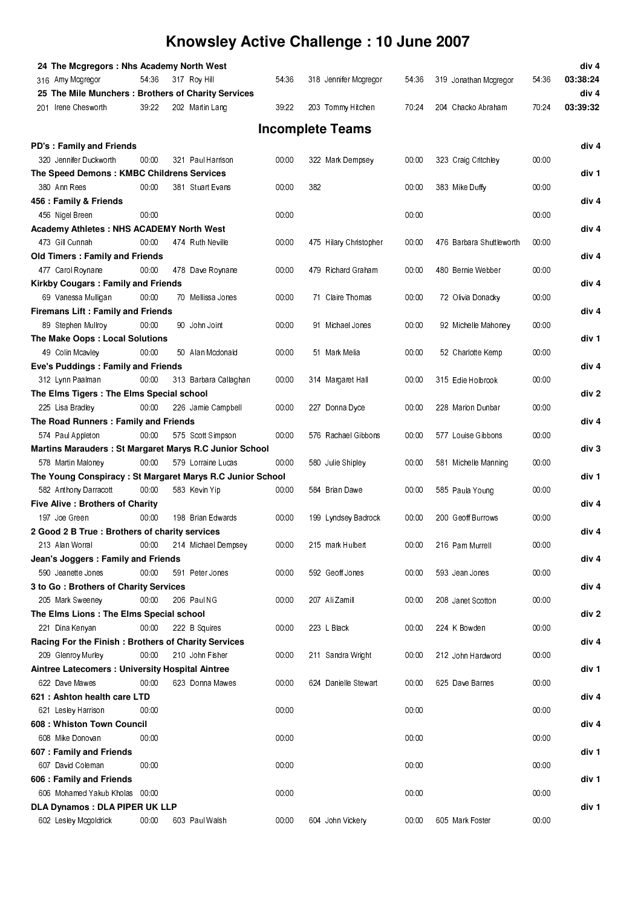| 24 The Mcgregors: Nhs Academy North West                   |       |     |                       |       |     |                         |       |                          |       | div <sub>4</sub> |
|------------------------------------------------------------|-------|-----|-----------------------|-------|-----|-------------------------|-------|--------------------------|-------|------------------|
| 316 Amy Mogregor                                           | 54:36 |     | 317 Roy Hill          | 54.36 |     | 318 Jennifer Mcgregor   | 54.36 | 319 Jonathan Mcgregor    | 54 36 | 03:38:24         |
| 25 The Mile Munchers: Brothers of Charity Services         |       |     |                       |       |     |                         |       |                          |       | div <sub>4</sub> |
| 201 Irene Chesworth                                        | 39.22 |     | 202 Martin Lang       | 39.22 |     | 203 Tommy Hitchen       | 70.24 | 204 Chacko Abraham       | 70.24 | 03:39:32         |
|                                                            |       |     |                       |       |     |                         |       |                          |       |                  |
|                                                            |       |     |                       |       |     | <b>Incomplete Teams</b> |       |                          |       |                  |
| <b>PD's: Family and Friends</b>                            |       |     |                       |       |     |                         |       |                          |       | div 4            |
| 320 Jennifer Duckworth                                     | 00:00 |     | 321 Paul Harrison     | 00.00 |     | 322 Mark Dempsey        | 00.00 | 323 Craig Critchley      | 00.00 |                  |
| The Speed Demons: KMBC Childrens Services                  |       |     |                       |       |     |                         |       |                          |       | div 1            |
| 380 Ann Rees                                               | 00:00 |     | 381 Stuart Evans      | 00.00 | 382 |                         | 00.00 | 383 Mike Duffy           | 00.00 |                  |
| 456 : Family & Friends                                     |       |     |                       |       |     |                         |       |                          |       | div <sub>4</sub> |
| 456 Nigel Breen                                            | 00:00 |     |                       | 00:00 |     |                         | 00:00 |                          | 00:00 |                  |
| <b>Academy Athletes: NHS ACADEMY North West</b>            |       |     |                       |       |     |                         |       |                          |       | div <sub>4</sub> |
| 473 Gill Cunnah                                            | 00:00 |     | 474 Ruth Neville      | 00.00 |     | 475 Hilary Christopher  | 00.00 | 476 Barbara Shuttleworth | 00.00 |                  |
| <b>Old Timers: Family and Friends</b>                      |       |     |                       |       |     |                         |       |                          |       | div <sub>4</sub> |
| 477 Carol Roynane                                          | 00:00 |     | 478 Dave Roynane      | 00.00 |     | 479 Richard Graham      | 00.00 | 480 Bernie Webber        | 00.00 |                  |
| <b>Kirkby Cougars: Family and Friends</b>                  |       |     |                       |       |     |                         |       |                          |       | div 4            |
| 69 Vanessa Mulligan                                        | 00:00 |     | 70 Mellissa Jones     | 00.00 |     | 71 Claire Thomas        | 00:00 | 72 Olivia Donacky        | 00.00 |                  |
| <b>Firemans Lift: Family and Friends</b>                   |       |     |                       |       |     |                         |       |                          |       | div 4            |
| 89 Stephen Mullroy                                         | 00.00 |     | 90 John Joint         | 00:00 |     | 91 Michael Jones        | 00:00 | 92 Michelle Mahoney      | 00:00 |                  |
| The Make Oops: Local Solutions                             |       |     |                       |       |     |                         |       |                          |       | div 1            |
| 49 Colin Mcaviev                                           | 00:00 |     | 50 Alan Mcdonald      | 00.00 |     | 51 Mark Melia           | 00:00 | 52 Charlotte Kemp        | 00.00 |                  |
| Eve's Puddings: Family and Friends                         |       |     |                       |       |     |                         |       |                          |       | div 4            |
| 312 Lynn Paalman                                           | 00.00 |     | 313 Barbara Callaghan | 00.00 |     | 314 Margaret Hall       | 00:00 | 315 Edie Holbrook        | 00.00 |                  |
| The Elms Tigers : The Elms Special school                  |       |     |                       |       |     |                         |       |                          |       | div 2            |
| 225 Lisa Bradley                                           | 00:00 |     | 226 Jamie Campbell    | 00.00 |     | 227 Donna Dyce          | 00 00 | 228 Marion Dunbar        | 00.00 |                  |
| The Road Runners : Family and Friends                      |       |     |                       |       |     |                         |       |                          |       | div <sub>4</sub> |
| 574 Paul Appleton                                          | 00:00 |     | 575 Scott Simpson     | 00:00 |     | 576 Rachael Gibbons     | 00:00 | 577 Louise Gibbons       | 00.00 |                  |
| Martins Marauders : St Margaret Marys R.C Junior School    |       |     |                       |       |     |                         |       |                          |       | div <sub>3</sub> |
| 578 Martin Maloney                                         | 00.00 |     | 579 Lorraine Lucas    | 00:00 |     | 580 Julie Shipley       | 00:00 | 581 Michelle Manning     | 00.00 |                  |
| The Young Conspiracy : St Margaret Marys R.C Junior School |       |     |                       |       |     |                         |       |                          |       | div 1            |
| 582 Anthony Darracott                                      | 00.00 |     | 583 Kevin Yip         | 00.00 |     | 584 Brian Dawe          | 00.00 | 585 Paula Young          | 00:00 |                  |
| <b>Five Alive: Brothers of Charity</b>                     |       |     |                       |       |     |                         |       |                          |       | div 4            |
| 197 Joe Green                                              | 00:00 |     | 198 Brian Edwards     | 00.00 |     | 199 Lyndsey Badrock     | 00.00 | 200 Geoff Burrows        | 00.00 |                  |
| 2 Good 2 B True : Brothers of charity services             |       |     |                       |       |     |                         |       |                          |       | div 4            |
| 213 Alan Worral                                            | 00:00 |     | 214 Michael Dempsey   | 00 00 |     | 215 mark Hulbert        | 00:00 | 216 Pam Murrell          | 00 00 |                  |
| Jean's Joggers: Family and Friends                         |       |     |                       |       |     |                         |       |                          |       | div 4            |
| 590 Jeanette Jones                                         | 00.00 | 591 | Peter Jones           | 00.00 |     | 592 Geoff Jones         | 00:00 | 593 Jean Jones           | 00:00 |                  |
| 3 to Go: Brothers of Charity Services                      |       |     |                       |       |     |                         |       |                          |       | div 4            |
| 205 Mark Sweeney                                           | 00.00 |     | 206 Paul NG           | 00.00 |     | 207 Ali Zamill          | 00.00 | 208 Janet Scotton        | 00.00 |                  |
| The Elms Lions : The Elms Special school                   |       |     |                       |       |     |                         |       |                          |       | div 2            |
| 221 Dina Kenyan                                            | 00:00 |     | 222 B Squires         | 00.00 |     | 223 L Black             | 00:00 | 224 K Bowden             | 00.00 |                  |
| Racing For the Finish: Brothers of Charity Services        |       |     |                       |       |     |                         |       |                          |       | div 4            |
| 209 Glenroy Murley                                         | 00:00 |     | 210 John Fisher       | 00.00 |     | 211 Sandra Wright       | 00:00 | 212 John Hardword        | 00.00 |                  |
| Aintree Latecomers : University Hospital Aintree           |       |     |                       |       |     |                         |       |                          |       | div 1            |
| 622 Dave Mawes                                             | 00:00 |     | 623 Donna Mawes       | 00.00 |     | 624 Danielle Stewart    | 00:00 | 625 Dave Barnes          | 00.00 |                  |
| 621 : Ashton health care LTD                               |       |     |                       |       |     |                         |       |                          |       | div 4            |
| 621 Lesley Harrison                                        | 00.00 |     |                       | 00:00 |     |                         | 00.00 |                          | 00.00 |                  |
| 608: Whiston Town Council                                  |       |     |                       |       |     |                         |       |                          |       | div 4            |
| 608 Mike Donovan                                           | 00.00 |     |                       | 00.00 |     |                         | 00:00 |                          | 00.00 |                  |
| 607: Family and Friends                                    |       |     |                       |       |     |                         |       |                          |       | div 1            |
| 607 David Coleman                                          | 00.00 |     |                       | 00.00 |     |                         | 00:00 |                          | 00.00 |                  |
| 606 : Family and Friends                                   |       |     |                       |       |     |                         |       |                          |       | div 1            |
| 606 Mohamed Yakub Kholas 00:00                             |       |     |                       | 00:00 |     |                         | 00:00 |                          | 00:00 |                  |
| <b>DLA Dynamos : DLA PIPER UK LLP</b>                      |       |     |                       |       |     |                         |       |                          |       | div 1            |
| 602 Lesley Mogoldrick                                      | 00:00 |     | 603 Paul Walsh        | 00.00 |     | 604 John Vickery        | 00:00 | 605 Mark Foster          | 00:00 |                  |
|                                                            |       |     |                       |       |     |                         |       |                          |       |                  |